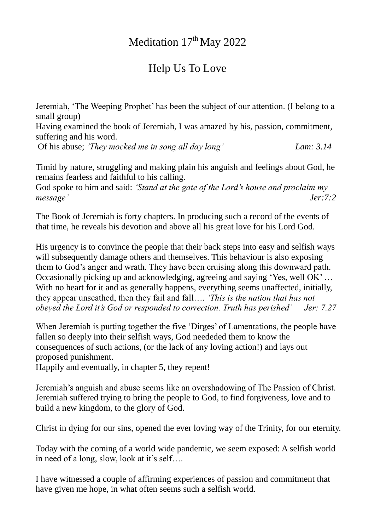## Meditation 17<sup>th</sup> May 2022

## Help Us To Love

Jeremiah, 'The Weeping Prophet' has been the subject of our attention. (I belong to a small group)

Having examined the book of Jeremiah, I was amazed by his, passion, commitment, suffering and his word.

Of his abuse; *'They mocked me in song all day long' Lam: 3.14* 

Timid by nature, struggling and making plain his anguish and feelings about God, he remains fearless and faithful to his calling.

God spoke to him and said: *'Stand at the gate of the Lord's house and proclaim my message' Jer:7:2*

The Book of Jeremiah is forty chapters. In producing such a record of the events of that time, he reveals his devotion and above all his great love for his Lord God.

His urgency is to convince the people that their back steps into easy and selfish ways will subsequently damage others and themselves. This behaviour is also exposing them to God's anger and wrath. They have been cruising along this downward path. Occasionally picking up and acknowledging, agreeing and saying 'Yes, well OK' … With no heart for it and as generally happens, everything seems unaffected, initially, they appear unscathed, then they fail and fall…. *'This is the nation that has not obeyed the Lord it's God or responded to correction. Truth has perished' Jer: 7.27* 

When Jeremiah is putting together the five 'Dirges' of Lamentations, the people have fallen so deeply into their selfish ways, God neededed them to know the consequences of such actions, (or the lack of any loving action!) and lays out proposed punishment.

Happily and eventually, in chapter 5, they repent!

Jeremiah's anguish and abuse seems like an overshadowing of The Passion of Christ. Jeremiah suffered trying to bring the people to God, to find forgiveness, love and to build a new kingdom, to the glory of God.

Christ in dying for our sins, opened the ever loving way of the Trinity, for our eternity.

Today with the coming of a world wide pandemic, we seem exposed: A selfish world in need of a long, slow, look at it's self….

I have witnessed a couple of affirming experiences of passion and commitment that have given me hope, in what often seems such a selfish world.